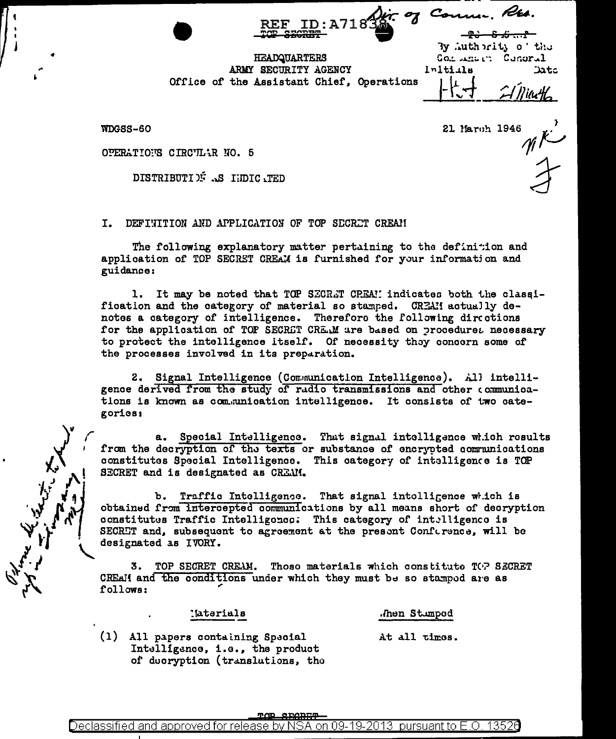$-9.3 - 5.6...$ By Authority of the

Course Rts.

**HEADQUARTERS** ARMY SECURITY AGENCY Office of the Assistant Chief. Operations

Initials Data Miarth,

Consumer Conoral

WDGSS-60

 $\begin{matrix} 1 \\ \frac{1}{2} \end{matrix}$ 21 March 1946

OPERATIONS CIRCULAR NO. 5

DISTRIBUTIE AS HIDICATED

I. DEFINITION AND APPLICATION OF TOP SECRET CREAM

The following explanatory matter pertaining to the definition and application of TOP SECRET CREAM is furnished for your information and guidance:

1. It may be noted that TOP SECRET CREA! indicates both the classification and the category of material so stamped. CREAN actually denotes a category of intelligence. Therefore the following directions for the application of TOP SECRET CREAM are based on proceduret necessary to protect the intelligence itself. Of necessity they concern some of the processes involved in its preparation.

2. Signal Intelligence (Communication Intelligence). All intelligence derived from the study of radio transmissions and other communications is known as communication intelligence. It consists of two categories:

a. Special Intelligence. That signal intelligence which rosults from the decryption of the texts or substance of encrypted communications constitutes Special Intelligence. This eategory of intelligence is TOP SECRET and is designated as CREAM.

b. Traffic Intelligence. That signal intolligence which is obtained from intercepted communications by all means short of decryption constitutes Traffic Intelligonce: This category of intelligence is SECRET and, subsequent to agreement at the present Conference, will be designated as IVORY.

TOP SECRET CREAM. Thoso materials which constitute TOP SECRET 3. CREAM and the conditions under which they must be so stamped are as follows:

'aterials

.hen Stumped

(1) All papers containing Special Intelligence, i.e., the product of dooryption (translations, tho At all times.

**TOP SEGREE**